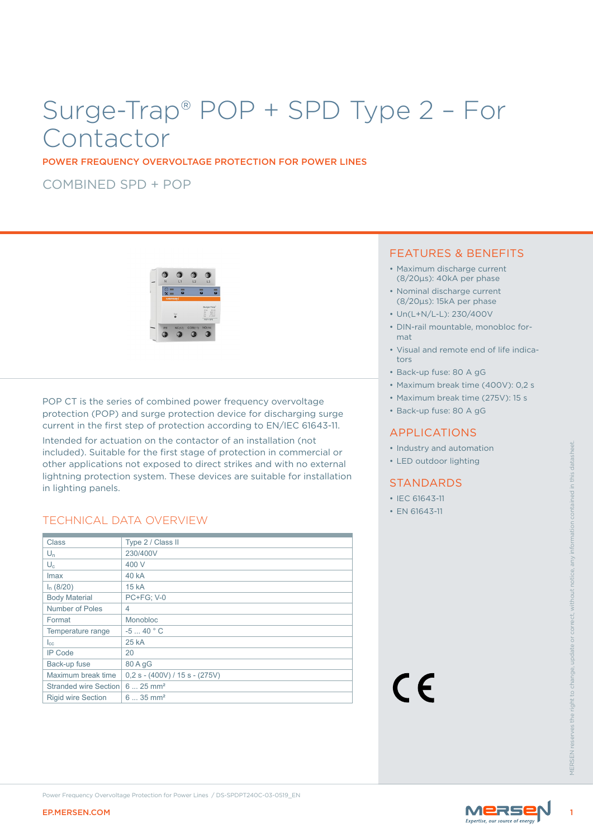# Surge-Trap® POP + SPD Type 2 – For Contactor

POWER FREQUENCY OVERVOLTAGE PROTECTION FOR POWER LINES

COMBINED SPD + POP



POP CT is the series of combined power frequency overvoltage protection (POP) and surge protection device for discharging surge current in the first step of protection according to EN/IEC 61643-11.

Intended for actuation on the contactor of an installation (not included). Suitable for the first stage of protection in commercial or other applications not exposed to direct strikes and with no external lightning protection system. These devices are suitable for installation in lighting panels.

## TECHNICAL DATA OVERVIEW

| Class<br>Type 2 / Class II<br>$U_n$<br>230/400V<br>$\mathsf{U}_{\mathsf{c}}$<br>400 V<br><b>40 kA</b><br>Imax<br>$I_n$ (8/20)<br>15 kA<br><b>Body Material</b><br><b>PC+FG; V-0</b><br>Number of Poles<br>4<br>Format<br>Monobloc<br>$-540 °C$<br>Temperature range<br>25 kA<br>$I_{\rm CC}$<br><b>IP Code</b><br>20<br>Back-up fuse<br>80 A gG<br>Maximum break time<br>$0,2 s - (400V) / 15 s - (275V)$<br>CE<br>Stranded wire Section 6  25 mm <sup>2</sup><br><b>Rigid wire Section</b><br>$635$ mm <sup>2</sup> | in lighting panels. | mended for actuation on the contactor or an installation (not<br>included). Suitable for the first stage of protection in commercial or<br>other applications not exposed to direct strikes and with no external<br>lightning protection system. These devices are suitable for installation<br><b>TECHNICAL DATA OVERVIEW</b> | • Industry and automation<br>• LED outdoor lighting<br><b>STANDARDS</b><br>• IEC 61643-11<br>• EN 61643-11 |                      |
|----------------------------------------------------------------------------------------------------------------------------------------------------------------------------------------------------------------------------------------------------------------------------------------------------------------------------------------------------------------------------------------------------------------------------------------------------------------------------------------------------------------------|---------------------|--------------------------------------------------------------------------------------------------------------------------------------------------------------------------------------------------------------------------------------------------------------------------------------------------------------------------------|------------------------------------------------------------------------------------------------------------|----------------------|
|                                                                                                                                                                                                                                                                                                                                                                                                                                                                                                                      |                     |                                                                                                                                                                                                                                                                                                                                |                                                                                                            |                      |
|                                                                                                                                                                                                                                                                                                                                                                                                                                                                                                                      |                     |                                                                                                                                                                                                                                                                                                                                |                                                                                                            |                      |
|                                                                                                                                                                                                                                                                                                                                                                                                                                                                                                                      |                     |                                                                                                                                                                                                                                                                                                                                |                                                                                                            |                      |
|                                                                                                                                                                                                                                                                                                                                                                                                                                                                                                                      |                     |                                                                                                                                                                                                                                                                                                                                |                                                                                                            |                      |
|                                                                                                                                                                                                                                                                                                                                                                                                                                                                                                                      |                     |                                                                                                                                                                                                                                                                                                                                |                                                                                                            | without noti         |
|                                                                                                                                                                                                                                                                                                                                                                                                                                                                                                                      |                     |                                                                                                                                                                                                                                                                                                                                |                                                                                                            |                      |
|                                                                                                                                                                                                                                                                                                                                                                                                                                                                                                                      |                     |                                                                                                                                                                                                                                                                                                                                |                                                                                                            |                      |
|                                                                                                                                                                                                                                                                                                                                                                                                                                                                                                                      |                     |                                                                                                                                                                                                                                                                                                                                |                                                                                                            |                      |
|                                                                                                                                                                                                                                                                                                                                                                                                                                                                                                                      |                     |                                                                                                                                                                                                                                                                                                                                |                                                                                                            |                      |
|                                                                                                                                                                                                                                                                                                                                                                                                                                                                                                                      |                     |                                                                                                                                                                                                                                                                                                                                |                                                                                                            |                      |
|                                                                                                                                                                                                                                                                                                                                                                                                                                                                                                                      |                     |                                                                                                                                                                                                                                                                                                                                |                                                                                                            |                      |
|                                                                                                                                                                                                                                                                                                                                                                                                                                                                                                                      |                     |                                                                                                                                                                                                                                                                                                                                |                                                                                                            |                      |
|                                                                                                                                                                                                                                                                                                                                                                                                                                                                                                                      |                     |                                                                                                                                                                                                                                                                                                                                |                                                                                                            |                      |
|                                                                                                                                                                                                                                                                                                                                                                                                                                                                                                                      |                     |                                                                                                                                                                                                                                                                                                                                |                                                                                                            |                      |
|                                                                                                                                                                                                                                                                                                                                                                                                                                                                                                                      |                     |                                                                                                                                                                                                                                                                                                                                |                                                                                                            | <b>VIFRSFN reser</b> |
| Power Frequency Overvoltage Protection for Power Lines / DS-SPDPT240C-03-0519_EN<br>MERSE<br><b>EP.MERSEN.COM</b>                                                                                                                                                                                                                                                                                                                                                                                                    |                     |                                                                                                                                                                                                                                                                                                                                |                                                                                                            |                      |

## FEATURES & BENEFITS

- Maximum discharge current (8/20μs): 40kA per phase
- Nominal discharge current (8/20μs): 15kA per phase
- Un(L+N/L-L): 230/400V
- DIN-rail mountable, monobloc format
- Visual and remote end of life indicators
- Back-up fuse: 80 A gG
- Maximum break time (400V): 0,2 s
- Maximum break time (275V): 15 s
- Back-up fuse: 80 A gG

### APPLICATIONS

- Industry and automation
- LED outdoor lighting

#### STANDARDS

- IEC 61643-11
- EN 61643-11